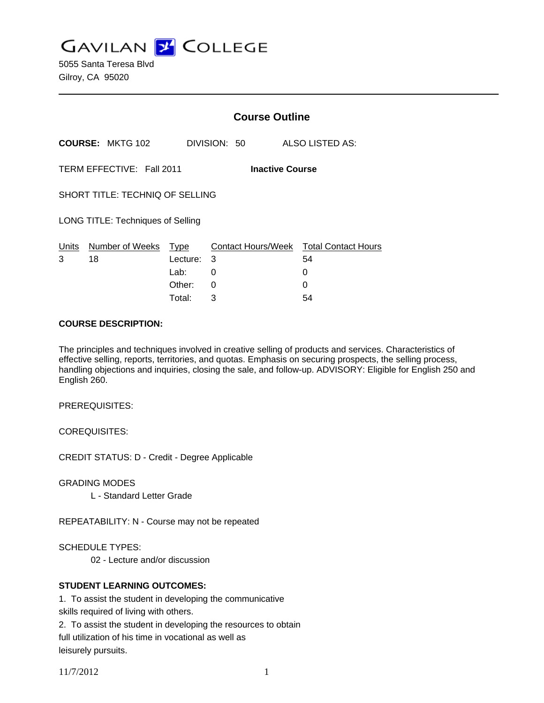**GAVILAN J COLLEGE** 

5055 Santa Teresa Blvd Gilroy, CA 95020

|                                                     |                            | <b>Course Outline</b>      |                                                              |                 |  |  |
|-----------------------------------------------------|----------------------------|----------------------------|--------------------------------------------------------------|-----------------|--|--|
|                                                     | <b>COURSE: MKTG 102</b>    |                            | DIVISION: 50                                                 | ALSO LISTED AS: |  |  |
| TERM EFFECTIVE: Fall 2011<br><b>Inactive Course</b> |                            |                            |                                                              |                 |  |  |
| SHORT TITLE: TECHNIQ OF SELLING                     |                            |                            |                                                              |                 |  |  |
| LONG TITLE: Techniques of Selling                   |                            |                            |                                                              |                 |  |  |
| <u>Un</u> its<br>3                                  | Number of Weeks Type<br>18 | Lecture:<br>Lab:<br>Other: | Contact Hours/Week Total Contact Hours<br>3<br>0<br>$\Omega$ | 54<br>0<br>0    |  |  |
|                                                     |                            | Total:                     | 3                                                            | 54              |  |  |

### **COURSE DESCRIPTION:**

The principles and techniques involved in creative selling of products and services. Characteristics of effective selling, reports, territories, and quotas. Emphasis on securing prospects, the selling process, handling objections and inquiries, closing the sale, and follow-up. ADVISORY: Eligible for English 250 and English 260.

PREREQUISITES:

COREQUISITES:

CREDIT STATUS: D - Credit - Degree Applicable

GRADING MODES

L - Standard Letter Grade

REPEATABILITY: N - Course may not be repeated

SCHEDULE TYPES:

02 - Lecture and/or discussion

# **STUDENT LEARNING OUTCOMES:**

1. To assist the student in developing the communicative skills required of living with others.

2. To assist the student in developing the resources to obtain full utilization of his time in vocational as well as leisurely pursuits.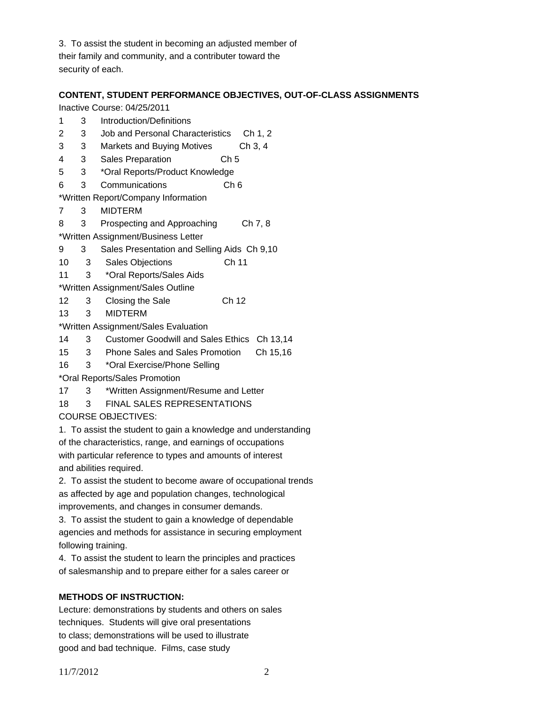3. To assist the student in becoming an adjusted member of their family and community, and a contributer toward the security of each.

# **CONTENT, STUDENT PERFORMANCE OBJECTIVES, OUT-OF-CLASS ASSIGNMENTS**

Inactive Course: 04/25/2011

- 1 3 Introduction/Definitions
- 2 3 Job and Personal Characteristics Ch 1, 2
- 3 3 Markets and Buying Motives Ch 3, 4
- 4 3 Sales Preparation Ch 5
- 5 3 \*Oral Reports/Product Knowledge
- 6 3 Communications Ch 6

\*Written Report/Company Information

7 3 MIDTERM

8 3 Prospecting and Approaching Ch 7, 8

\*Written Assignment/Business Letter

9 3 Sales Presentation and Selling Aids Ch 9,10

10 3 Sales Objections Ch 11

11 3 \*Oral Reports/Sales Aids

\*Written Assignment/Sales Outline

- 12 3 Closing the Sale Ch 12
- 13 3 MIDTERM

\*Written Assignment/Sales Evaluation

14 3 Customer Goodwill and Sales Ethics Ch 13,14

- 15 3 Phone Sales and Sales Promotion Ch 15,16
- 16 3 \*Oral Exercise/Phone Selling

\*Oral Reports/Sales Promotion

- 17 3 \*Written Assignment/Resume and Letter
- 18 3 FINAL SALES REPRESENTATIONS

COURSE OBJECTIVES:

1. To assist the student to gain a knowledge and understanding of the characteristics, range, and earnings of occupations with particular reference to types and amounts of interest and abilities required.

2. To assist the student to become aware of occupational trends as affected by age and population changes, technological improvements, and changes in consumer demands.

3. To assist the student to gain a knowledge of dependable agencies and methods for assistance in securing employment following training.

4. To assist the student to learn the principles and practices of salesmanship and to prepare either for a sales career or

# **METHODS OF INSTRUCTION:**

Lecture: demonstrations by students and others on sales techniques. Students will give oral presentations to class; demonstrations will be used to illustrate good and bad technique. Films, case study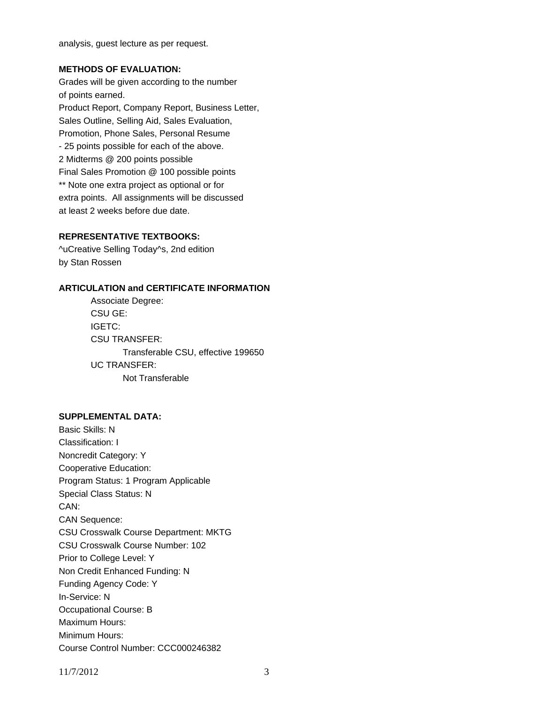analysis, guest lecture as per request.

#### **METHODS OF EVALUATION:**

Grades will be given according to the number of points earned. Product Report, Company Report, Business Letter, Sales Outline, Selling Aid, Sales Evaluation, Promotion, Phone Sales, Personal Resume - 25 points possible for each of the above. 2 Midterms @ 200 points possible Final Sales Promotion @ 100 possible points \*\* Note one extra project as optional or for extra points. All assignments will be discussed at least 2 weeks before due date.

# **REPRESENTATIVE TEXTBOOKS:**

^uCreative Selling Today^s, 2nd edition by Stan Rossen

# **ARTICULATION and CERTIFICATE INFORMATION**

 Transferable CSU, effective 199650 UC TRANSFER: Not Transferable Associate Degree: CSU GE: IGETC: CSU TRANSFER:

### **SUPPLEMENTAL DATA:**

Basic Skills: N Classification: I Noncredit Category: Y Cooperative Education: Program Status: 1 Program Applicable Special Class Status: N CAN: CAN Sequence: CSU Crosswalk Course Department: MKTG CSU Crosswalk Course Number: 102 Prior to College Level: Y Non Credit Enhanced Funding: N Funding Agency Code: Y In-Service: N Occupational Course: B Maximum Hours: Minimum Hours: Course Control Number: CCC000246382